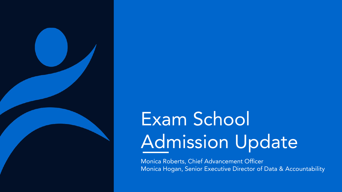

# Exam School Admission Update

Monica Roberts, Chief Advancement Officer Monica Hogan, Senior Executive Director of Data & Accountability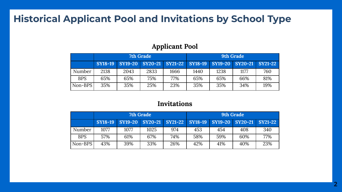## **Historical Applicant Pool and Invitations by School Type**

#### **Applicant Pool**

|            | 7th Grade |                                 |      |      | 9th Grade |                         |      |     |
|------------|-----------|---------------------------------|------|------|-----------|-------------------------|------|-----|
|            | SY18-19   | SY19-20 SY20-21 SY21-22 SY18-19 |      |      |           | SY19-20 SY20-21 SY21-22 |      |     |
| Number     | 2138      | 2043                            | 2833 | 1666 | 1440      | 1238                    | 1177 | 760 |
| <b>BPS</b> | 65%       | 65%                             | 75%  | 77%  | 65%       | 65%                     | 66%  | 81% |
| Non-BPS    | 35%       | 35%                             | 25%  | 23%  | 35%       | 35%                     | 34%  | 19% |

#### **Invitations**

|            | 7th Grade |                         |      | 9th Grade |     |     |                                         |     |
|------------|-----------|-------------------------|------|-----------|-----|-----|-----------------------------------------|-----|
|            |           | SY18-19 SY19-20 SY20-21 |      |           |     |     | SY21-22 SY18-19 SY19-20 SY20-21 SY21-22 |     |
| Number     | 1077      | 1077                    | 1025 | 974       | 453 | 454 | 408                                     | 340 |
| <b>BPS</b> | 57%       | 61%                     | 67%  | 74%       | 58% | 59% | 60%                                     | 77% |
| Non-BPS    | 43%       | 39%                     | 33%  | 26%       | 42% | 41% | 40%                                     | 23% |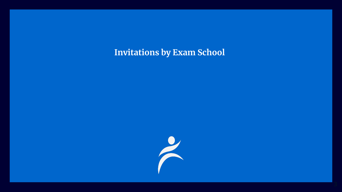**Invitations by Exam School**

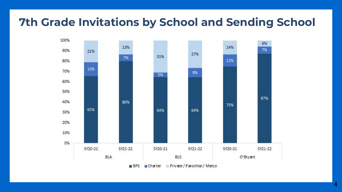# **7th Grade Invitations by School and Sending School**

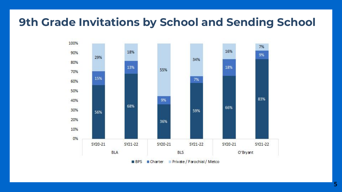# **9th Grade Invitations by School and Sending School**

![](_page_4_Figure_1.jpeg)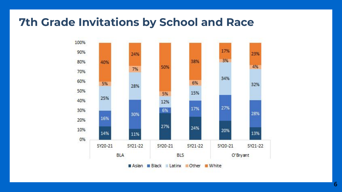## **7th Grade Invitations by School and Race**

![](_page_5_Figure_1.jpeg)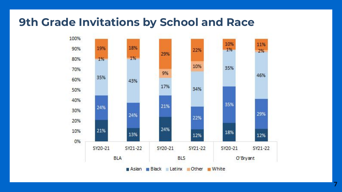## **9th Grade Invitations by School and Race**

![](_page_6_Figure_1.jpeg)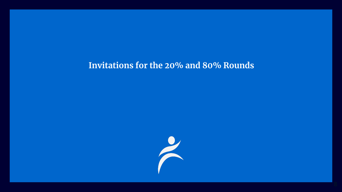#### **Invitations for the 20% and 80% Rounds**

![](_page_7_Picture_1.jpeg)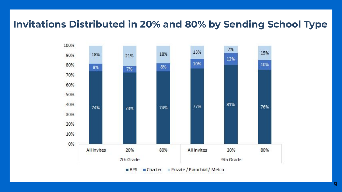## **Invitations Distributed in 20% and 80% by Sending School Type**

![](_page_8_Figure_1.jpeg)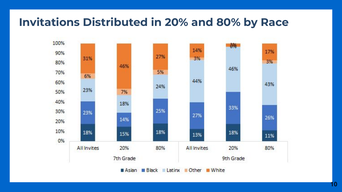# **Invitations Distributed in 20% and 80% by Race**

![](_page_9_Figure_1.jpeg)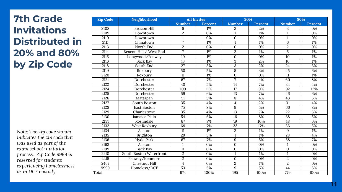## **7th Grade Invitations Distributed in 20% and 80% by Zip Code**

*Note: The zip code shown indicates the zip code that was used as part of the exam school invitation process. Zip Code 9999 is reserved for students experiencing homelessness or in DCF custody.*

| <b>Zip Code</b> | Neighborhood            | <b>All Invites</b> |                |                 | 20%              |                  | 80%     |  |
|-----------------|-------------------------|--------------------|----------------|-----------------|------------------|------------------|---------|--|
|                 |                         | <b>Number</b>      | <b>Percent</b> | <b>Number</b>   | <b>Percent</b>   | <b>Number</b>    | Percent |  |
| 2108            | <b>Beacon Hill</b>      | 6                  | 1%             | 3               | 2%               | 3                | 0%      |  |
| 2109            | Downtown                | $\overline{2}$     | 0%             | 1               | 1%               | 1                | 0%      |  |
| 2110            | Downtown                | $\mathbf{1}$       | 0%             | $\Omega$        | $\overline{0\%}$ | $\mathbf{1}$     | 0%      |  |
| 2111            | Chinatown               | 7                  | 1%             | $\mathbf{1}$    | 1%               | 6                | 1%      |  |
| 2113            | North End               | $\overline{c}$     | 0%             | $\mathbf{0}$    | 0%               | $\overline{2}$   | 0%      |  |
| 2114            | Beacon Hill / West End  | 7                  | 1%             | $\overline{2}$  | 1%               | 5                | 1%      |  |
| 2115            | Longwood/Fenway         | 10                 | 1%             | $\mathbf{0}$    | 0%               | 10               | 1%      |  |
| 2116            | <b>Back Bay</b>         | 13                 | 1%             | 3               | 2%               | 10               | 1%      |  |
| 2118            | South End               | $\overline{27}$    | 3%             | 3               | 2%               | $\overline{24}$  | 3%      |  |
| 2119            | Roxbury                 | 50                 | 5%             | $\overline{5}$  | 3%               | 45               | 6%      |  |
| 2120            | Roxbury                 | 11                 | 1%             | $\mathbf{0}$    | 0%               | 11               | 1%      |  |
| 2121            | Dorchester              | 67                 | 7%             | $\overline{7}$  | 4%               | 60               | 8%      |  |
| 2122            | Dorchester              | 48                 | 5%             | 14              | 7%               | $\overline{34}$  | 4%      |  |
| 2124            | Dorchester              | 109                | 11%            | $\overline{17}$ | 9%               | 92               | 12%     |  |
| 2125            | Dorchester              | 59                 | 6%             | 13              | 7%               | 46               | 6%      |  |
| 2126            | Mattapan                | 51                 | 5%             | 8               | 4%               | 43               | 6%      |  |
| 2127            | South Boston            | $\overline{35}$    | 4%             | 4               | 2%               | $\overline{31}$  | 4%      |  |
| 2128            | East Boston             | 75                 | 8%             | 9               | 5%               | 66               | 8%      |  |
| 2129            | Charlestown             | 35                 | 4%             | 13              | 7%               | 22               | 3%      |  |
| 2130            | Jamaica Plain           | $\overline{54}$    | 6%             | 16              | 8%               | 38               | 5%      |  |
| 2131            | Roslindale              | 67                 | 7%             | 19              | 10%              | 48               | 6%      |  |
| 2132            | West Roxbury            | 69                 | 7%             | 33              | 17%              | 36               | 5%      |  |
| 2134            | Allston                 | 11                 | 1%             | $\overline{c}$  | 1%               | 9                | 1%      |  |
| 2135            | Brighton                | 29                 | 3%             | $\mathbf{1}$    | 1%               | 28               | 4%      |  |
| 2136            | Hyde Park               | 67                 | 7%             | 9               | 5%               | 58               | 7%      |  |
| 2163            | Allston                 | $\mathbf{1}$       | 0%             | $\mathbf{0}$    | 0%               | $\mathbf{1}$     | 0%      |  |
| 2199            | <b>Back Bav</b>         | $\boldsymbol{0}$   | 0%             | $\mathbf{0}$    | 0%               | $\boldsymbol{0}$ | 0%      |  |
| 2210            | South Boston Waterfront | $\overline{2}$     | 0%             | 1               | 1%               | $\mathbf{1}$     | 0%      |  |
| 2215            | Fenway/Kenmore          | $\overline{2}$     | 0%             | $\mathbf{0}$    | 0%               | $\overline{2}$   | 0%      |  |
| 2467            | <b>Chestnut Hill</b>    | $\overline{4}$     | 0%             | $\overline{2}$  | 1%               | $\overline{2}$   | 0%      |  |
| 9999            | Homeless/DCF            | $\overline{53}$    | 5%             | 9               | 5%               | 44               | 6%      |  |
| Total           |                         | 974                | 100%           | 195             | 100%             | 779              | 100%    |  |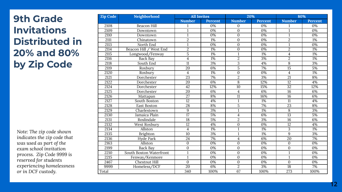## **9th Grade Invitations Distributed in 20% and 80% by Zip Code**

*Note: The zip code shown indicates the zip code that was used as part of the exam school invitation process. Zip Code 9999 is reserved for students experiencing homelessness or in DCF custody.*

| Zip Code | Neighborhood            | <b>All Invites</b> |                  | 20%                     |                  |                  | 80%              |
|----------|-------------------------|--------------------|------------------|-------------------------|------------------|------------------|------------------|
|          |                         | <b>Number</b>      | Percent          | <b>Number</b>           | Percent          | <b>Number</b>    | Percent          |
| 2108     | <b>Beacon Hill</b>      |                    | 0%               | $\mathbf{0}$            | 0%               | 1                | 0%               |
| 2109     | Downtown                | 1                  | 0%               | $\overline{0}$          | $\overline{0\%}$ | $\mathbf{1}$     | 0%               |
| 2110     | Downtown                | $\mathbf{1}$       | $\overline{0\%}$ | $\mathbf{0}$            | $\overline{0\%}$ | $\mathbf{1}$     | 0%               |
| 2111     | Chinatown               | $\overline{2}$     | 1%               | $\Omega$                | $\overline{0\%}$ | $\overline{2}$   | 1%               |
| 2113     | North End               | $\mathbf{1}$       | $\overline{0\%}$ | $\mathbf{0}$            | $\overline{0\%}$ | $\overline{1}$   | $\overline{0\%}$ |
| 2114     | Beacon Hill / West End  | $\overline{2}$     | $\overline{1\%}$ | $\mathbf{0}$            | $\overline{0\%}$ | $\overline{2}$   | 1%               |
| 2115     | Longwood/Fenway         | $\overline{5}$     | $\overline{1\%}$ | 1                       | $\overline{1\%}$ | $\overline{4}$   | 1%               |
| 2116     | <b>Back Bay</b>         | $\overline{4}$     | 1%               | $\overline{2}$          | 3%               | $\overline{2}$   | 1%               |
| 2118     | South End               | $\overline{11}$    | 3%               | $\overline{3}$          | $\overline{4\%}$ | $\overline{8}$   | 3%               |
| 2119     | Roxbury                 | 20                 | 6%               | 5                       | 7%               | 15               | 5%               |
| 2120     | Roxbury                 | $\overline{4}$     | 1%               | $\mathbf{0}$            | 0%               | $\overline{4}$   | 1%               |
| 2121     | Dorchester              | 23                 | 7%               | $\overline{2}$          | 3%               | 21               | 8%               |
| 2122     | Dorchester              | 20                 | 6%               | 8                       | 12%              | $\overline{12}$  | 4%               |
| 2124     | Dorchester              | 42                 | 12%              | 10                      | 15%              | 32               | 12%              |
| 2125     | Dorchester              | $\overline{20}$    | 6%               | $\overline{4}$          | 6%               | $\overline{16}$  | 6%               |
| 2126     | Mattapan                | $\overline{27}$    | 8%               | 11                      | 16%              | 16               | 6%               |
| 2127     | South Boston            | $\overline{12}$    | 4%               | $\mathbf{1}$            | 1%               | $\overline{11}$  | 4%               |
| 2128     | <b>East Boston</b>      | 28                 | 8%               | $\overline{5}$          | 7%               | 23               | 8%               |
| 2129     | Charlestown             | 9                  | 3%               | 1                       | $\overline{1\%}$ | 8                | 3%               |
| 2130     | Jamaica Plain           | $\overline{17}$    | 5%               | $\overline{4}$          | 6%               | $\overline{13}$  | 5%               |
| 2131     | Roslindale              | 18                 | 5%               | $\overline{2}$          | 3%               | 16               | 6%               |
| 2132     | West Roxbury            | $\overline{12}$    | 4%               | $\mathbf{0}$            | 0%               | $\overline{12}$  | 4%               |
| 2134     | Allston                 | $\overline{4}$     | 1%               | 1                       | 1%               | 3                | 1%               |
| 2135     | Brighton                | 10                 | 3%               | 1                       | 1%               | 9                | 3%               |
| 2136     | <b>Hyde Park</b>        | 24                 | 7%               | $\overline{\mathbf{4}}$ | 6%               | $\overline{20}$  | 7%               |
| 2163     | Allston                 | $\mathbf{0}$       | 0%               | $\mathbf{0}$            | $0\%$            | $\mathbf{0}$     | 0%               |
| 2199     | <b>Back Bay</b>         | $\Omega$           | 0%               | $\mathbf{0}$            | 0%               | $\boldsymbol{0}$ | 0%               |
| 2210     | South Boston Waterfront | 1                  | 0%               | $\mathbf{0}$            | 0%               | $\overline{1}$   | 0%               |
| 2215     | Fenway/Kenmore          | $\mathbf{1}$       | 0%               | $\mathbf{0}$            | 0%               | $\mathbf{1}$     | 0%               |
| 2467     | <b>Chestnut Hill</b>    | $\Omega$           | $\overline{0\%}$ | $\mathbf{0}$            | $0\%$            | $\mathbf{0}$     | 0%               |
| 9999     | Homeless/DCF            | $\overline{20}$    | 6%               | $\overline{2}$          | 3%               | $\overline{18}$  | 7%               |
| Total    |                         | $\overline{340}$   | 100%             | 67                      | 100%             | $\overline{273}$ | 100%             |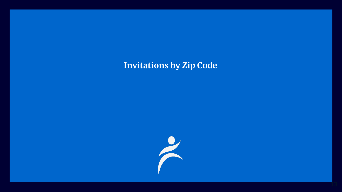## **Invitations by Zip Code**

![](_page_12_Picture_1.jpeg)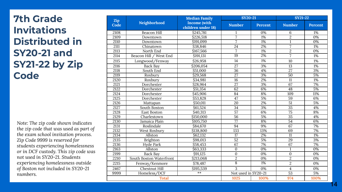## **7th Grade Invitations Distributed in SY20-21 and SY21-22 by Zip Code**

*Note: The zip code shown indicates the zip code that was used as part of the exam school invitation process. Zip Code 9999 is reserved for students experiencing homelessness or in DCF custody. This zip code was not used in SY20-21. Students experiencing homelessness outside of Boston not included in SY20-21 numbers.*

| Zip  |                                | <b>Median Family</b>               | <b>SY20-21</b>      |                  | <b>SY21-22</b>  |                  |
|------|--------------------------------|------------------------------------|---------------------|------------------|-----------------|------------------|
| Code | Neighborhood                   | Income (with<br>children under 18) | <b>Number</b>       | Percent          | <b>Number</b>   | Percent          |
| 2108 | <b>Beacon Hill</b>             | \$245,781                          |                     | 0%               | 6               | 1%               |
| 2109 | Downtown                       | \$226,518                          | 7                   | $1\%$            | $\overline{2}$  | $\overline{0\%}$ |
| 2110 | Downtown                       | \$191,099                          | 7                   | $1\%$            | $\mathbf{1}$    | $\overline{0\%}$ |
| 2111 | Chinatown                      | \$38,846                           | $\overline{24}$     | 2%               | $\overline{7}$  | 1%               |
| 2113 | North End                      | \$167,566                          | 7                   | 1%               | $\overline{2}$  | 0%               |
| 2114 | Beacon Hill / West End         | \$191,131                          | 19                  | 2%               | 7               | 1%               |
| 2115 | Longwood/Fenway                | \$26,958                           | 14                  | 1%               | 10              | 1%               |
| 2116 | <b>Back Bay</b>                | \$206,054                          | $\overline{27}$     | 3%               | $\overline{13}$ | $1\%$            |
| 2118 | South End                      | \$51,000                           | $\overline{36}$     | 4%               | $\overline{27}$ | 3%               |
| 2119 | Roxbury                        | \$29,568                           | $\overline{27}$     | 3%               | 50              | 5%               |
| 2120 | Roxbury                        | \$34,981                           | 16                  | 2%               | 11              | $1\%$            |
| 2121 | Dorchester                     | \$28,964                           | $\overline{27}$     | 3%               | 67              | 7%               |
| 2122 | Dorchester                     | \$51,354                           | 62                  | 6%               | 48              | 5%               |
| 2124 | Dorchester                     | \$45,906                           | 84                  | 8%               | 109             | 11%              |
| 2125 | Dorchester                     | \$53,828                           | 47                  | 5%               | 59              | 6%               |
| 2126 | Mattapan                       | \$50,011                           | $\overline{20}$     | 2%               | $\overline{51}$ | 5%               |
| 2127 | South Boston                   | \$61,524                           | $\overline{34}$     | 3%               | $\overline{35}$ | 4%               |
| 2128 | <b>East Boston</b>             | \$40,313                           | 57                  | 6%               | $\overline{75}$ | 8%               |
| 2129 | Charlestown                    | \$150,000                          | $\overline{56}$     | 5%               | 35              | 4%               |
| 2130 | Jamaica Plain                  | \$105,750                          | $\overline{77}$     | 8%               | $\overline{54}$ | 6%               |
| 2131 | Roslindale                     | \$84,670                           | 94                  | 9%               | 67              | 7%               |
| 2132 | West Roxbury                   | \$138,800                          | 133                 | 13%              | 69              | 7%               |
| 2134 | Allston                        | \$62,132                           | $\overline{17}$     | 2%               | $\overline{11}$ | $\overline{1\%}$ |
| 2135 | Brighton                       | \$98,013                           | $\overline{52}$     | 5%               | 29              | 3%               |
| 2136 | Hyde Park                      | \$58,453                           | 67                  | 7%               | 67              | 7%               |
| 2163 | Allston                        | \$63,333                           | $\mathbf{0}$        | $\overline{0\%}$ | $\mathbf{1}$    | $\overline{0\%}$ |
| 2199 | <b>Back Bav</b>                | \$91,125                           | $\mathbf{0}$        | $\overline{0\%}$ | $\mathbf{0}$    | $\overline{0\%}$ |
| 2210 | <b>South Boston Waterfront</b> | \$213,068                          | $\overline{2}$      | $\overline{0\%}$ | $\overline{2}$  | 0%               |
| 2215 | Fenway/Kenmore                 | \$78,487                           | $\overline{8}$      | $1\%$            | $\overline{2}$  | 0%               |
| 2467 | <b>Chestnut Hill</b>           | \$195,539                          | 3                   | 0%               | $\overline{4}$  | $\overline{0\%}$ |
| 9999 | Homeless/DCF                   | $**$                               | Not used in SY20-21 |                  | $\overline{53}$ | 5%               |
|      | <b>Total</b>                   |                                    | 1025                | 100%             | 974             | 100%             |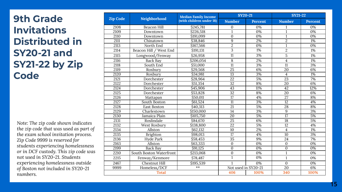## **9th Grade Invitations Distributed in SY20-21 and SY21-22 by Zip Code**

*Note: The zip code shown indicates the zip code that was used as part of the exam school invitation process. Zip Code 9999 is reserved for students experiencing homelessness or in DCF custody. This zip code was not used in SY20-21. Students experiencing homelessness outside of Boston not included in SY20-21 numbers.*

|                 |                         | <b>Median Family Income</b> | $SY20-21$       |                     | <b>SY21-22</b>          |                  |
|-----------------|-------------------------|-----------------------------|-----------------|---------------------|-------------------------|------------------|
| <b>Zip Code</b> | Neighborhood            | (with children under 18)    | <b>Number</b>   | Percent             | <b>Number</b>           | Percent          |
| 2108            | <b>Beacon Hill</b>      | \$245,781                   | 0               | 0%                  |                         | 0%               |
| 2109            | Downtown                | \$226,518                   | 1               | 0%                  | $\mathbf{1}$            | 0%               |
| 2110            | Downtown                | \$191,099                   | $\Omega$        | 0%                  | $\mathbf{1}$            | 0%               |
| 2111            | Chinatown               | \$38,846                    | 9               | 2%                  | $\overline{2}$          | 1%               |
| 2113            | North End               | $\overline{$}3167,566$      | $\overline{2}$  | $\overline{0\%}$    | $\mathbf{1}$            | $\overline{0\%}$ |
| 2114            | Beacon Hill / West End  | \$191,131                   | 3               | 1%                  | $\overline{2}$          | 1%               |
| 2115            | Longwood/Fenway         | \$26,958                    | $\overline{11}$ | 3%                  | $\overline{5}$          | 1%               |
| 2116            | Back Bay                | \$206,054                   | 8               | 2%                  | $\overline{\mathbf{4}}$ | 1%               |
| 2118            | South End               | \$51,000                    | 11              | 3%                  | 11                      | 3%               |
| 2119            | Roxbury                 | \$29.568                    | $\overline{25}$ | 6%                  | 20                      | 6%               |
| 2120            | Roxbury                 | 334,981                     | $\overline{13}$ | 3%                  | $\overline{\mathbf{4}}$ | 1%               |
| 2121            | Dorchester              | \$28,964                    | $\overline{22}$ | 5%                  | $\overline{23}$         | 7%               |
| 2122            | Dorchester              | \$51,354                    | $\overline{32}$ | 8%                  | $\overline{20}$         | 6%               |
| 2124            | Dorchester              | \$45,906                    | $\overline{43}$ | 11%                 | $\overline{42}$         | 12%              |
| 2125            | Dorchester              | 553,828                     | $\overline{32}$ | 8%                  | 20                      | 6%               |
| 2126            | Mattapan                | \$50,011                    | 17              | 4%                  | 27                      | 8%               |
| 2127            | South Boston            | \$61,524                    | 11              | 3%                  | $\overline{12}$         | 4%               |
| 2128            | East Boston             | \$40,313                    | 21              | 5%                  | 28                      | 8%               |
| 2129            | Charlestown             | \$150,000                   | 14              | 3%                  | 9                       | 3%               |
| 2130            | Jamaica Plain           | \$105,750                   | $\overline{20}$ | 5%                  | $\overline{17}$         | 5%               |
| 2131            | Roslindale              | \$84,670                    | $\overline{25}$ | 6%                  | $\overline{18}$         | 5%               |
| 2132            | West Roxbury            | \$138,800                   | $\overline{22}$ | 5%                  | 12                      | 4%               |
| 2134            | Allston                 | \$62,132                    | 10              | 2%                  | $\overline{\mathbf{4}}$ | 1%               |
| 2135            | Brighton                | \$98,013                    | $\overline{17}$ | 4%                  | $\overline{10}$         | 3%               |
| 2136            | Hyde Park               | \$58,453                    | $\overline{35}$ | 9%                  | 24                      | 7%               |
| 2163            | Allston                 | \$63,333                    | $\mathbf{0}$    | 0%                  | $\mathbf{0}$            | 0%               |
| 2199            | <b>Back Bay</b>         | \$91,125                    | $\mathbf{0}$    | 0%                  | $\mathbf{0}$            | 0%               |
| 2210            | South Boston Waterfront | \$213,068                   | $\mathbf{0}$    | 0%                  | $\mathbf{1}$            | 0%               |
| 2215            | Fenway/Kenmore          | \$78,487                    | 1               | 0%                  | $\mathbf{1}$            | 0%               |
| 2467            | <b>Chestnut Hill</b>    | \$195,539                   |                 | 0%                  | $\theta$                | 0%               |
| 9999            | Homeless/DCF            | $**$                        |                 | Not used in SY20-21 | $\overline{20}$         | 6%               |
|                 | <b>Total</b>            |                             | 406             | 100%                | 340                     | 100%             |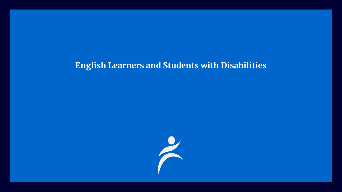## **English Learners and Students with Disabilities**

![](_page_15_Picture_1.jpeg)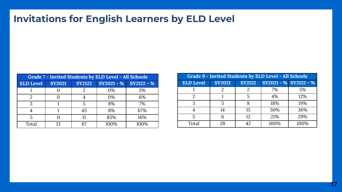## **Invitations for English Learners by ELD Level**

| Grade 7 - Invited Students by ELD Level - All Schools |                                                             |    |      |      |  |  |  |
|-------------------------------------------------------|-------------------------------------------------------------|----|------|------|--|--|--|
| <b>ELD Level</b>                                      | $SY2021 - %$ $SY2122 - %$<br><b>SY2122</b><br><b>SY2021</b> |    |      |      |  |  |  |
|                                                       |                                                             |    | 0%   | 3%   |  |  |  |
|                                                       |                                                             |    | 0%   | 6%   |  |  |  |
| 2                                                     |                                                             |    | 8%   | 7%   |  |  |  |
|                                                       |                                                             | 45 | 8%   | 67%  |  |  |  |
|                                                       |                                                             | 11 | 85%  | 16%  |  |  |  |
| Total                                                 | 13                                                          |    | 100% | 100% |  |  |  |

| Grade 9 - Invited Students by ELD Level - All Schools |               |               |                       |      |  |  |  |
|-------------------------------------------------------|---------------|---------------|-----------------------|------|--|--|--|
| <b>ELD Level</b>                                      | <b>SY2021</b> | <b>SY2122</b> | SY2021 - % SY2122 - % |      |  |  |  |
|                                                       |               |               | 7%                    | 5%   |  |  |  |
| 2                                                     |               |               | 4%                    | 12%  |  |  |  |
| 3                                                     |               |               | 18%                   | 19%  |  |  |  |
|                                                       | 14            | 15            | 50%                   | 36%  |  |  |  |
|                                                       |               | 12.           | 21%                   | 29%  |  |  |  |
| Total                                                 | 28            | 42.           | 100%                  | 100% |  |  |  |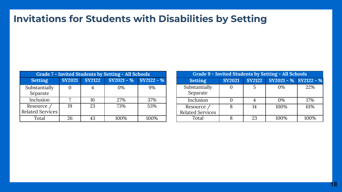## **Invitations for Students with Disabilities by Setting**

| Grade 7 - Invited Students by Setting - All Schools |               |               |              |            |  |  |  |
|-----------------------------------------------------|---------------|---------------|--------------|------------|--|--|--|
| <b>Setting</b>                                      | <b>SY2021</b> | <b>SY2122</b> | $SY2021 - %$ | SY2122 - % |  |  |  |
| Substantially<br>Separate                           |               |               | $0\%$        | 9%         |  |  |  |
| Inclusion                                           |               | 16            | 27%          | 37%        |  |  |  |
| Resource /<br><b>Related Services</b>               | 19            | 23            | 73%          | 53%        |  |  |  |
| Total                                               | 26            |               | 100%         | 100%       |  |  |  |

| Grade 9 - Invited Students by Setting - All Schools |               |               |                       |      |  |  |  |
|-----------------------------------------------------|---------------|---------------|-----------------------|------|--|--|--|
| <b>Setting</b>                                      | <b>SY2021</b> | <b>SY2122</b> | SY2021 - % SY2122 - % |      |  |  |  |
| Substantially<br>Separate                           |               |               | $0\%$                 | 22%  |  |  |  |
| Inclusion                                           |               |               | $0\%$                 | 17%  |  |  |  |
| Resource /<br><b>Related Services</b>               |               | 14            | 100%                  | 61%  |  |  |  |
| Total                                               |               | 23            | 100%                  | 100% |  |  |  |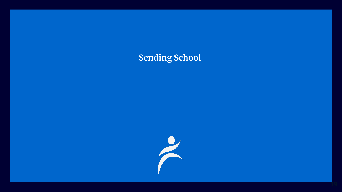## **Sending School**

![](_page_18_Picture_1.jpeg)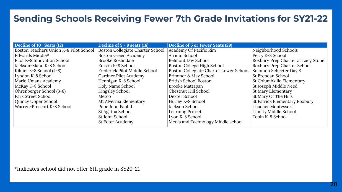#### **Sending Schools Receiving Fewer 7th Grade Invitations for SY21-22**

| Decline of 10+ Seats (12)              | Decline of $5 - 9$ seats (16)    | Decline of 5 or Fewer Seats (29)       |                                    |
|----------------------------------------|----------------------------------|----------------------------------------|------------------------------------|
| Boston Teachers Union K-8 Pilot School | Boston Collegiate Charter School | Academy Of Pacific Rim                 | Neighborhood Schools               |
| Edwards Middle*                        | Boston Green Academy             | Atrium School                          | Perry K-8 School                   |
| Eliot K-8 Innovation School            | <b>Brooke Roslindale</b>         | <b>Belmont Day School</b>              | Roxbury Prep Charter at Lucy Stone |
| Jackson-Mann K-8 School                | Edison K-8 School                | Boston College High School             | Roxbury Prep Charter School        |
| Kilmer K-8 School (4-8)                | Frederick Pilot Middle School    | Boston Collegiate Charter Lower School | Solomon Schecter Day S             |
| Lyndon K-8 School                      | Gardner Pilot Academy            | Brimmer & May School                   | St Brendan School                  |
| Mario Umana Academy                    | Hennigan K-8 School              | British School Boston                  | St Columbkille Elementary          |
| McKay K-8 School                       | Holy Name School                 | Brooke Mattapan                        | St Joseph Middle Need              |
| Ohrenberger School (3-8)               | Kingsley School                  | Chestnut Hill School                   | St Mary Elementary                 |
| Park Street School                     | Metco                            | Dexter School                          | St Mary Of The Hills               |
| Quincy Upper School                    | Mt Alvernia Elementary           | Hurley K-8 School                      | St Patrick Elementary Roxbury      |
| Warren-Prescott K-8 School             | Pope John Paul II                | Jackson School                         | Thacher Montessori                 |
|                                        | St Agatha School                 | Learning Project                       | Timilty Middle School              |
|                                        | St John School                   | Lyon K-8 School                        | Tobin K-8 School                   |
|                                        | St Peter Academy                 | Media and Technology Middle school     |                                    |

\*Indicates school did not offer 6th grade in SY20-21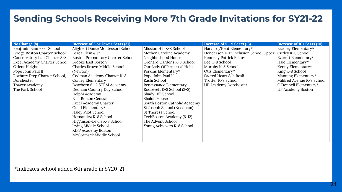#### **Sending Schools Receiving More 7th Grade Invitations for SY21-22**

| No Change (8)                | Increase of 5 or Fewer Seats (37) |                               | Increase of 5 - 9 Seats (13)          | Increase of 10+ Seats (10) |
|------------------------------|-----------------------------------|-------------------------------|---------------------------------------|----------------------------|
| Benjamin Banneker School     | Alighieri Dante Montessori School | Mission Hill K-8 School       | Harvard/Kent Elementary*              | Bradley Elementary*        |
| Bridge Boston Charter School | Berea Elem & Jr                   | Mother Caroline Academy       | Henderson K-12 Inclusion School Upper | Curley K-8 School          |
| Conservatory Lab Charter 3-8 | Boston Preparatory Charter School | Neighborhood House            | Kennedy Patrick Elem*                 | Everett Elementary*        |
| Excel Academy Charter School | <b>Brooke East Boston</b>         | Orchard Gardens K-8 School    | Lee K-8 School                        | Hale Elementary*           |
| Orient Heights               | Charles Brown Middle School       | Our Lady Of Perpetual Help    | Murphy K-8 School                     | Kenny Elementary*          |
| Pope John Paul II            | (Newton)                          | Perkins Elementary*           | Otis Elementary*                      | King K-8 School            |
| Roxbury Prep Charter School, | Codman Academy Charter K-8        | Pope John Paul II             | Sacred Heart Sch Rosli                | Manning Elementary*        |
| Dorchester                   | Conley Elementary                 | Rashi School                  | Trotter K-8 School                    | Mildred Avenue K-8 School  |
| Thayer Academy               | Dearborn 6-12 STEM Academy        | Renaissance Elementary        | UP Academy Dorchester                 | O'Donnell Elementary*      |
| The Park School              | Dedham Country Day School         | Roosevelt K-8 School (2-8)    |                                       | <b>UP Academy Boston</b>   |
|                              | Delphi Academy                    | Shady Hill School             |                                       |                            |
|                              | <b>East Boston Central</b>        | Shaloh House                  |                                       |                            |
|                              | Excel Academy Charter             | South Boston Catholic Academy |                                       |                            |
|                              | Guild Elementary*                 | St Joseph School (Needham)    |                                       |                            |
|                              | Haley Pilot School                | St Theresa School             |                                       |                            |
|                              | Hernandez K-8 School              | TechBoston Academy (6-12)     |                                       |                            |
|                              | Higginson-Lewis K-8 School        | The Advent School             |                                       |                            |
|                              | Irving Middle School              | Young Achievers K-8 School    |                                       |                            |
|                              | KIPP Academy Boston               |                               |                                       |                            |
|                              | McCormack Middle School           |                               |                                       |                            |
|                              |                                   |                               |                                       |                            |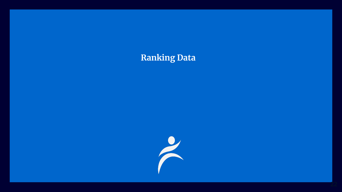## **Ranking Data**

![](_page_21_Figure_1.jpeg)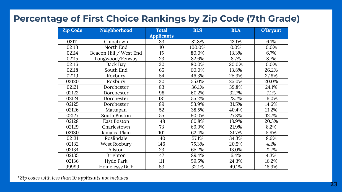#### **Percentage of First Choice Rankings by Zip Code (7th Grade)**

| <b>Zip Code</b> | Neighborhood           | <b>Total</b>      | <b>BLS</b> | <b>BLA</b> | O'Bryant |
|-----------------|------------------------|-------------------|------------|------------|----------|
|                 |                        | <b>Applicants</b> |            |            |          |
| 02111           | Chinatown              | 33                | 81.8%      | 12.1%      | 6.1%     |
| 02113           | North End              | 10                | 100.0%     | 0.0%       | 0.0%     |
| 02114           | Beacon Hill / West End | 15                | 80.0%      | 13.3%      | 6.7%     |
| 02115           | Longwood/Fenway        | 23                | 82.6%      | 8.7%       | 8.7%     |
| 02116           | <b>Back Bay</b>        | 20                | 80.0%      | 20.0%      | 0.0%     |
| 02118           | South End              | 65                | 60.0%      | 13.8%      | 26.2%    |
| 02119           | Roxbury                | $\overline{54}$   | 46.3%      | 25.9%      | 27.8%    |
| 02120           | Roxbury                | 20                | 55.0%      | 25.0%      | 20.0%    |
| 02121           | Dorchester             | 83                | 36.1%      | 39.8%      | 24.1%    |
| 02122           | Dorchester             | 98                | 60.2%      | 32.7%      | 7.1%     |
| 02124           | Dorchester             | 181               | 55.2%      | 28.7%      | 16.0%    |
| 02125           | Dorchester             | 89                | 53.9%      | 31.5%      | 14.6%    |
| 02126           | Mattapan               | $\overline{52}$   | 38.5%      | 40.4%      | 21.2%    |
| 02127           | South Boston           | $\overline{55}$   | 60.0%      | 27.3%      | 12.7%    |
| 02128           | East Boston            | 148               | 60.8%      | 18.9%      | 20.3%    |
| 02129           | Charlestown            | 73                | 69.9%      | 21.9%      | 8.2%     |
| 02130           | Jamaica Plain          | 101               | 62.4%      | 31.7%      | 5.9%     |
| 02131           | Roslindale             | 140               | 57.1%      | 34.3%      | 8.6%     |
| 02132           | West Roxbury           | 146               | 75.3%      | 20.5%      | 4.1%     |
| 02134           | Allston                | 23                | 65.2%      | 13.0%      | 21.7%    |
| 02135           | Brighton               | 47                | 89.4%      | 6.4%       | 4.3%     |
| 02136           | Hyde Park              | 111               | 59.5%      | 24.3%      | 16.2%    |
| 99999           | Homeless/DCF           | $\overline{53}$   | 32.1%      | 49.1%      | 18.9%    |

*\*Zip codes with less than 10 applicants not included*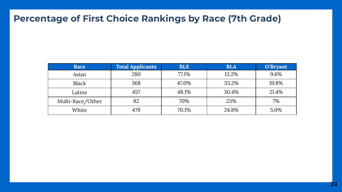## **Percentage of First Choice Rankings by Race (7th Grade)**

| Race             | <b>Total Applicants</b> | <b>BLS</b> | <b>BLA</b> | O'Bryant |
|------------------|-------------------------|------------|------------|----------|
| Asian            | 280                     | 77.1%      | 13.2%      | 9.6%     |
| Black            | 368                     | 47.0%      | 33.2%      | 19.8%    |
| Latinx           | 457                     | 48.1%      | 30.4%      | 21.4%    |
| Multi-Race/Other | 82                      | 70%        | 23%        | 7%       |
| White            | 479                     | 70.1%      | 24.8%      | 5.0%     |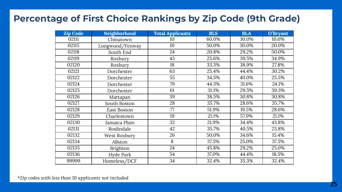#### **Percentage of First Choice Rankings by Zip Code (9th Grade)**

| <b>Zip Code</b> | Neighborhood    | <b>Total Applicants</b> | <b>BLS</b> | <b>BLA</b> | O'Bryant |
|-----------------|-----------------|-------------------------|------------|------------|----------|
| 02111           | Chinatown       | 10                      | 60.0%      | 30.0%      | 10.0%    |
| 02115           | Longwood/Fenway | 10                      | 50.0%      | 30.0%      | 20.0%    |
| 02118           | South End       | 24                      | 20.8%      | 29.2%      | 50.0%    |
| 02119           | Roxbury         | 43                      | 25.6%      | 39.5%      | 34.9%    |
| 02120           | Roxbury         | 18                      | 33.3%      | 38.9%      | 27.8%    |
| 02121           | Dorchester      | 63                      | 25.4%      | 44.4%      | 30.2%    |
| 02122           | Dorchester      | 55                      | 34.5%      | 40.0%      | 25.5%    |
| 02124           | Dorchester      | 79                      | 44.3%      | 31.6%      | 24.1%    |
| 02125           | Dorchester      | 61                      | 31.1%      | 29.5%      | 39.3%    |
| 02126           | Mattapan        | 39                      | 38.5%      | 30.8%      | 30.8%    |
| 02127           | South Boston    | 28                      | 35.7%      | 28.6%      | 35.7%    |
| 02128           | East Boston     | 77                      | 51.9%      | 19.5%      | 28.6%    |
| 02129           | Charlestown     | 19                      | 21.1%      | 57.9%      | 21.1%    |
| 02130           | Jamaica Plain   | 32                      | 21.9%      | 34.4%      | 43.8%    |
| 02131           | Roslindale      | 42                      | 35.7%      | 40.5%      | 23.8%    |
| 02132           | West Roxbury    | 26                      | 50.0%      | 34.6%      | 15.4%    |
| 02134           | Allston         | 8                       | 37.5%      | 25.0%      | 37.5%    |
| 02135           | Brighton        | 24                      | 45.8%      | 29.2%      | 25.0%    |
| 02136           | Hyde Park       | 54                      | 37.0%      | 44.4%      | 18.5%    |
| 99999           | Homeless/DCF    | 34                      | 32.4%      | 35.3%      | 32.4%    |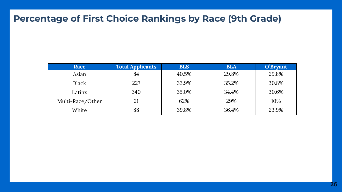## **Percentage of First Choice Rankings by Race (9th Grade)**

| Race             | <b>Total Applicants</b> | <b>BLS</b> | <b>BLA</b> | O'Bryant |
|------------------|-------------------------|------------|------------|----------|
| Asian            | 84                      | 40.5%      | 29.8%      | 29.8%    |
| Black            | 227                     | 33.9%      | 35.2%      | 30.8%    |
| Latinx           | 340                     | 35.0%      | 34.4%      | 30.6%    |
| Multi-Race/Other | 21                      | 62%        | 29%        | 10%      |
| White            | 88                      | 39.8%      | 36.4%      | 23.9%    |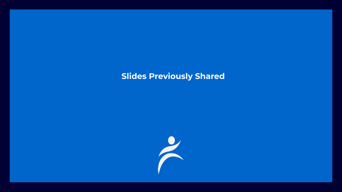## **Slides Previously Shared**

![](_page_26_Picture_1.jpeg)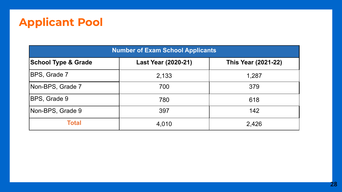# **Applicant Pool**

| <b>Number of Exam School Applicants</b> |                            |                            |  |  |  |
|-----------------------------------------|----------------------------|----------------------------|--|--|--|
| <b>School Type &amp; Grade</b>          | <b>Last Year (2020-21)</b> | <b>This Year (2021-22)</b> |  |  |  |
| <b>IBPS, Grade 7</b>                    | 2,133                      | 1,287                      |  |  |  |
| Non-BPS, Grade 7                        | 700                        | 379                        |  |  |  |
| BPS, Grade 9                            | 780                        | 618                        |  |  |  |
| Non-BPS, Grade 9                        | 397                        | 142                        |  |  |  |
| <b>Total</b>                            | 4,010                      | 2,426                      |  |  |  |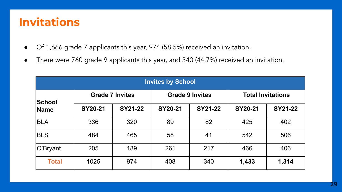# **Invitations**

- Of 1,666 grade 7 applicants this year, 974 (58.5%) received an invitation.
- There were 760 grade 9 applicants this year, and 340 (44.7%) received an invitation.

| <b>Invites by School</b> |                        |                |                        |         |                          |                |  |
|--------------------------|------------------------|----------------|------------------------|---------|--------------------------|----------------|--|
| <b>School</b>            | <b>Grade 7 Invites</b> |                | <b>Grade 9 Invites</b> |         | <b>Total Invitations</b> |                |  |
| Name                     | <b>SY20-21</b>         | <b>SY21-22</b> | <b>SY20-21</b>         | SY21-22 | SY20-21                  | <b>SY21-22</b> |  |
| <b>BLA</b>               | 336                    | 320            | 89                     | 82      | 425                      | 402            |  |
| <b>BLS</b>               | 484                    | 465            | 58                     | 41      | 542                      | 506            |  |
| O'Bryant                 | 205                    | 189            | 261                    | 217     | 466                      | 406            |  |
| <b>Total</b>             | 1025                   | 974            | 408                    | 340     | 1,433                    | 1,314          |  |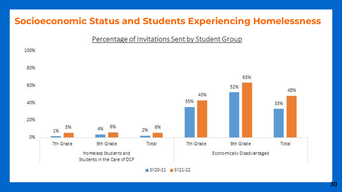## **Socioeconomic Status and Students Experiencing Homelessness**

#### Percentage of Invitations Sent by Student Group

![](_page_29_Figure_2.jpeg)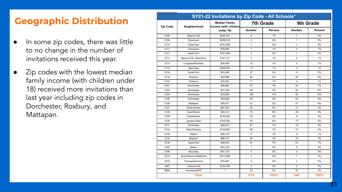## **Geographic Distribution**

- In some zip codes, there was little to no change in the number of invitations received this year.
- Zip codes with the lowest median family income (with children under 18) received more invitations than last year including zip codes in Dorchester, Roxbury, and Mattapan.

| SY21-22 Invitations by Zip Code - All Schools* |                         |                                               |                         |         |                         |         |
|------------------------------------------------|-------------------------|-----------------------------------------------|-------------------------|---------|-------------------------|---------|
| Zip Code                                       | Neighborhood            | <b>Median Family</b><br>Income (with children | 7th Grade               |         | 9th Grade               |         |
|                                                |                         | under 18)                                     | <b>Number</b>           | Percent | <b>Number</b>           | Percent |
| 2108                                           | Beacon Hill             | \$245,781                                     | 6                       | 1%      | 1                       | 0%      |
| 2109                                           | Downtown                | \$226,518                                     | $\overline{2}$          | 0%      | $\mathbf{1}$            | 0%      |
| 2110                                           | Downtown                | \$191,099                                     | $\mathbf{1}$            | 0%      | $\mathbf{1}$            | 0%      |
| 2111                                           | Chinatown               | \$38,846                                      | $\overline{7}$          | 1%      | $\overline{2}$          | 1%      |
| 2113                                           | North End               | \$167,566                                     | $\overline{2}$          | 0%      | $\mathbf{1}$            | 0%      |
| 2114                                           | Beacon Hill / West End  | \$191,131                                     | $\overline{7}$          | 1%      | $\overline{2}$          | 1%      |
| 2115                                           | Longwood/Fenway         | \$26,958                                      | 10                      | 1%      | 5                       | 1%      |
| 2116                                           | Back Bay                | \$206,054                                     | 13                      | 1%      | $\overline{\mathbf{4}}$ | 1%      |
| 2118                                           | South End               | \$51,000                                      | 27                      | 3%      | 11                      | 3%      |
| 2119                                           | Roxbury                 | \$29,568                                      | 50                      | 5%      | 20                      | 6%      |
| 2120                                           | Roxbury                 | \$34,981                                      | 11                      | 1%      | $\overline{\mathbf{4}}$ | 1%      |
| 2121                                           | Dorchester              | \$28,964                                      | 67                      | 7%      | 23                      | 7%      |
| 2122                                           | Dorchester              | \$51,354                                      | 48                      | 5%      | 20                      | 6%      |
| 2124                                           | Dorchester              | \$45,906                                      | 109                     | 11%     | 42                      | 12%     |
| 2125                                           | Dorchester              | \$53.828                                      | 59                      | 6%      | 20                      | 6%      |
| 2126                                           | Mattapan                | \$50.011                                      | 51                      | 5%      | 27                      | 8%      |
| 2127                                           | South Boston            | \$61.524                                      | 35                      | 4%      | 12                      | 4%      |
| 2128                                           | East Boston             | \$40.313                                      | 75                      | 8%      | 28                      | 8%      |
| 2129                                           | Charlestown             | \$150,000                                     | 35                      | 4%      | 9                       | 3%      |
| 2130                                           | Jamaica Plain           | \$105,750                                     | 54                      | 6%      | 17                      | 5%      |
| 2131                                           | Roslindale              | \$84,670                                      | 67                      | 7%      | 18                      | 5%      |
| 2132                                           | West Roxbury            | \$138,800                                     | 69                      | 7%      | 12                      | 4%      |
| 2134                                           | Allston                 | \$62,132                                      | 11                      | 1%      | $\overline{\mathbf{4}}$ | 1%      |
| 2135                                           | Brighton                | \$98,013                                      | 29                      | 3%      | 10                      | 3%      |
| 2136                                           | <b>Hyde Park</b>        | \$58.453                                      | 67                      | 7%      | 24                      | 7%      |
| 2163                                           | Allston                 | \$63,333                                      | $\mathbf{1}$            | 0%      | $\Omega$                | 0%      |
| 2199                                           | Back Bay                | \$91,125                                      | $\mathbf 0$             | 0%      | 0                       | 0%      |
| 2210                                           | South Boston Waterfront | \$213,068                                     | $\overline{2}$          | 0%      | 1                       | 0%      |
| 2215                                           | Fenway/Kenmore          | \$78,487                                      | $\overline{2}$          | 0%      | 1                       | 0%      |
| 2467                                           | Chestnut Hill           | \$195,539                                     | $\overline{\mathbf{4}}$ | 0%      | $\Omega$                | 0%      |
| 9999                                           | Homeless/DCF            | $\star\star$                                  | 53                      | 5%      | 20                      | 6%      |
|                                                | <b>Total</b>            |                                               | 974                     | 100%    | 340                     | 100%    |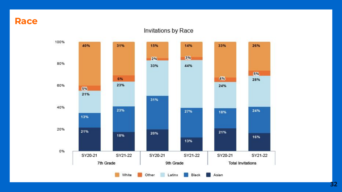**Race**

#### Invitations by Race

![](_page_31_Figure_2.jpeg)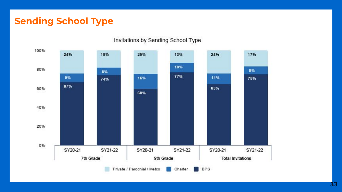#### **Sending School Type**

![](_page_32_Figure_1.jpeg)

#### Invitations by Sending School Type